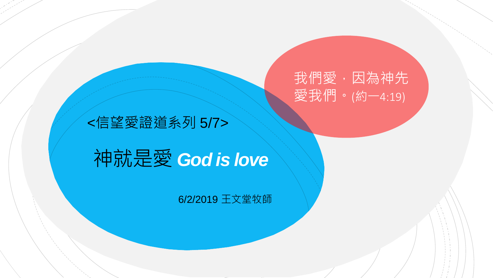我們愛,因為神先 愛我們。(約一4:19)

#### <信望愛證道系列 5/7>

# 神就是愛 *God is love*

#### 6/2/2019 王文堂牧師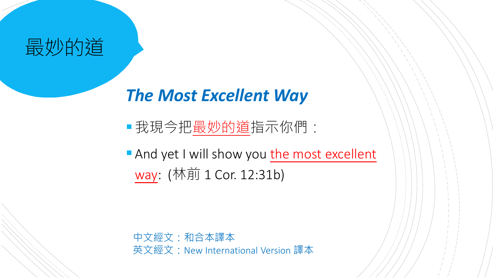

#### *The Most Excellent Way*

我現今把最妙的道指示你們:

**And yet I will show you the most excellent** way: (林前 1 Cor. 12:31b)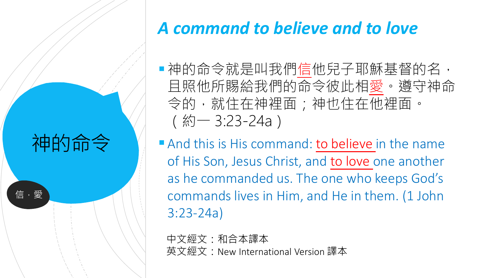神的命令

信,愛

#### *A command to believe and to love*

■神的命令就是叫我們信他兒子耶穌基督的名, 且照他所賜給我們的命令彼此相愛。遵守神命 令的,就住在神裡面;神也住在他裡面。 (約一 3:23-24a)

And this is His command: to believe in the name of His Son, Jesus Christ, and to love one another as he commanded us. The one who keeps God's commands lives in Him, and He in them. (1 John 3:23-24a)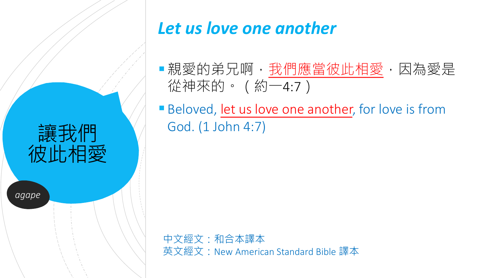

#### *Let us love one another*

- ■親愛的弟兄啊, 我們應當彼此相愛, 因為愛是 從神來的。(約一4:7)
- Beloved, let us love one another, for love is from God. (1 John 4:7)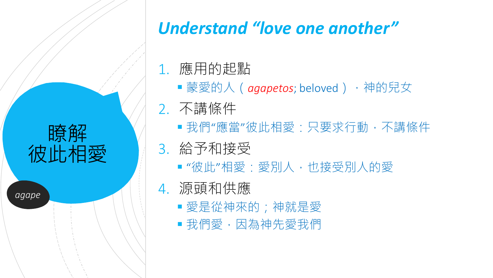

*agape*

#### *Understand "love one another"*

- 1. 應用的起點
	- ■蒙愛的人(*aqapetos*; beloved),神的兒女
- 2. 不講條件
	- ■我們"應當"彼此相愛:只要求行動,不講條件
- 3. 給予和接受
	- "彼此"相愛:愛別人,也接受別人的愛

#### 4. 源頭和供應

- 愛是從神來的;神就是愛
- 我們愛,因為神先愛我們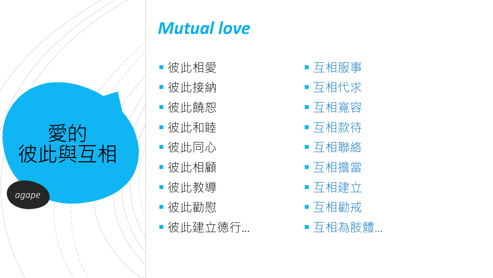

*agape*

#### *Mutual love*

- 彼此相愛
- 彼此接納
- 彼此饒恕
- 彼此和睦
- 彼此同心
- 彼此相顧
- 彼此教導
- 彼此勸慰
- 彼此建立德行…
- 互相服事
- 互相代求
- 互相寬容
- 互相款待
- 互相聯絡
- 互相擔當
- 互相建立
- 互相勸戒
- ■互相為肢體…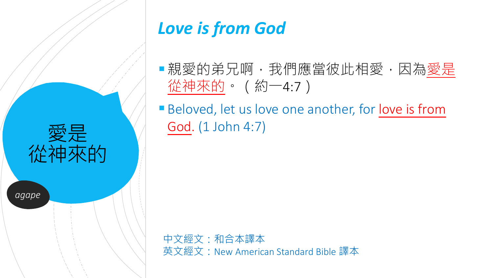

#### *Love is from God*

- ■親愛的弟兄啊, 我們應當彼此相愛, 因為愛是 從神來的。(約一4:7)
- Beloved, let us love one another, for love is from God. (1 John 4:7)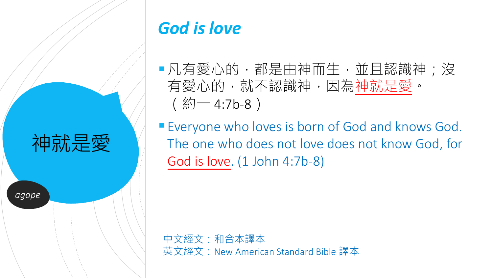

#### *God is love*

■凡有愛心的,都是由神而生,並且認識神;沒 有愛心的,就不認識神,因為神就是愛。  $($  約 - 4:7b-8 )

**Everyone who loves is born of God and knows God.** The one who does not love does not know God, for God is love. (1 John 4:7b-8)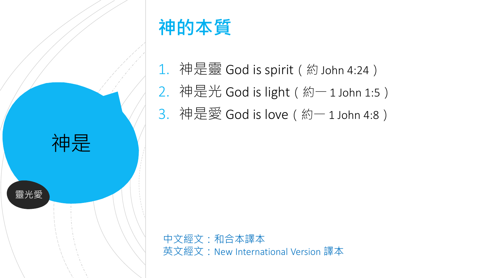

## **神的本質**

- 1. 神是靈 God is spirit(約 John 4:24)
- 2. 神是光 God is light(約一 1 John 1:5)
- 3. 神是愛 God is love(約一 1 John 4:8)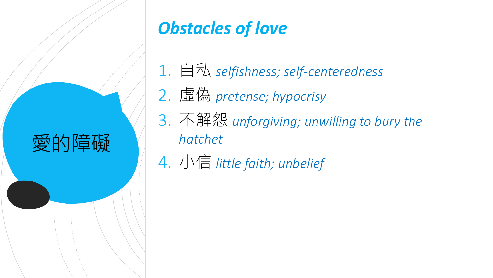

## *Obstacles of love*

- 1. 自私 *selfishness; self-centeredness*
- 2. 虛偽 *pretense; hypocrisy*
- 3. 不解怨 *unforgiving; unwilling to bury the hatchet*
- 4. 小信 *little faith; unbelief*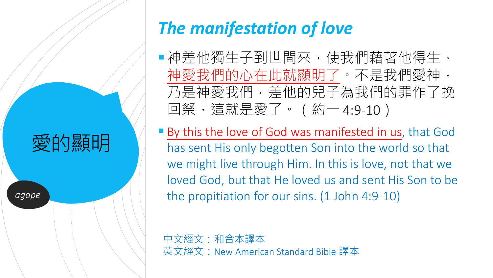## 愛的顯明

*agape*

## *The manifestation of love*

- ■神差他獨生子到世間來,使我們藉著他得生, 神愛我們的心在此就顯明了。不是我們愛神, 乃是神愛我們,差他的兒子為我們的罪作了挽 回祭,這就是愛了。(約一 4:9-10)
- By this the love of God was manifested in us, that God has sent His only begotten Son into the world so that we might live through Him. In this is love, not that we loved God, but that He loved us and sent His Son to be the propitiation for our sins. (1 John 4:9-10)